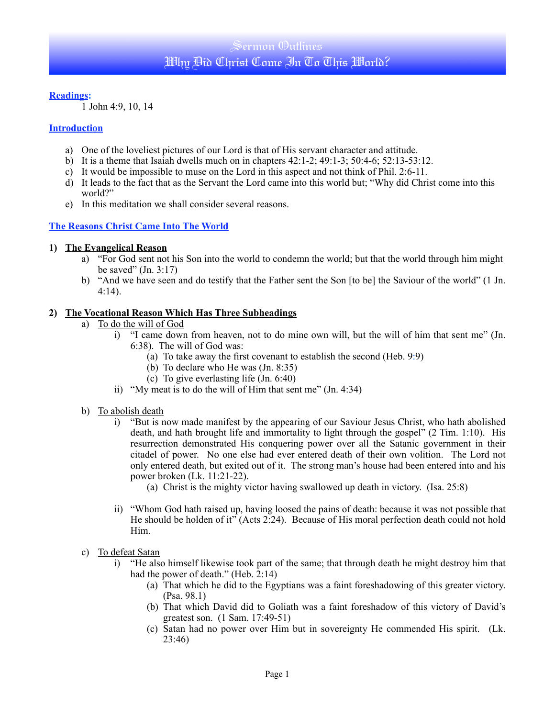# Sermon Outlines Why Bid Christ Come In To This World?

#### **Readings:**

1 John 4:9, 10, 14

#### **Introduction**

- a) One of the loveliest pictures of our Lord is that of His servant character and attitude.
- b) It is a theme that Isaiah dwells much on in chapters 42:1-2; 49:1-3; 50:4-6; 52:13-53:12.
- c) It would be impossible to muse on the Lord in this aspect and not think of Phil. 2:6-11.
- d) It leads to the fact that as the Servant the Lord came into this world but; "Why did Christ come into this world?"
- e) In this meditation we shall consider several reasons.

## **The Reasons Christ Came Into The World**

#### **1) The Evangelical Reason**

- a) "For God sent not his Son into the world to condemn the world; but that the world through him might be saved"  $(In. 3:17)$
- b) "And we have seen and do testify that the Father sent the Son [to be] the Saviour of the world" (1 Jn. 4:14).

#### **2) The Vocational Reason Which Has Three Subheadings**

- a) To do the will of God
	- i) "I came down from heaven, not to do mine own will, but the will of him that sent me" (Jn. 6:38). The will of God was:
		- (a) To take away the first covenant to establish the second (Heb. 9:9)
		- (b) To declare who He was (Jn. 8:35)
		- (c) To give everlasting life (Jn. 6:40)
	- ii) "My meat is to do the will of Him that sent me" (Jn. 4:34)
- b) To abolish death
	- i) "But is now made manifest by the appearing of our Saviour Jesus Christ, who hath abolished death, and hath brought life and immortality to light through the gospel" (2 Tim. 1:10). His resurrection demonstrated His conquering power over all the Satanic government in their citadel of power. No one else had ever entered death of their own volition. The Lord not only entered death, but exited out of it. The strong man's house had been entered into and his power broken (Lk. 11:21-22).
		- (a) Christ is the mighty victor having swallowed up death in victory. (Isa. 25:8)
	- ii) "Whom God hath raised up, having loosed the pains of death: because it was not possible that He should be holden of it" (Acts 2:24). Because of His moral perfection death could not hold Him.
- c) To defeat Satan
	- i) "He also himself likewise took part of the same; that through death he might destroy him that had the power of death." (Heb.  $2:14$ )
		- (a) That which he did to the Egyptians was a faint foreshadowing of this greater victory. (Psa. 98.1)
		- (b) That which David did to Goliath was a faint foreshadow of this victory of David's greatest son. (1 Sam. 17:49-51)
		- (c) Satan had no power over Him but in sovereignty He commended His spirit. (Lk. 23:46)